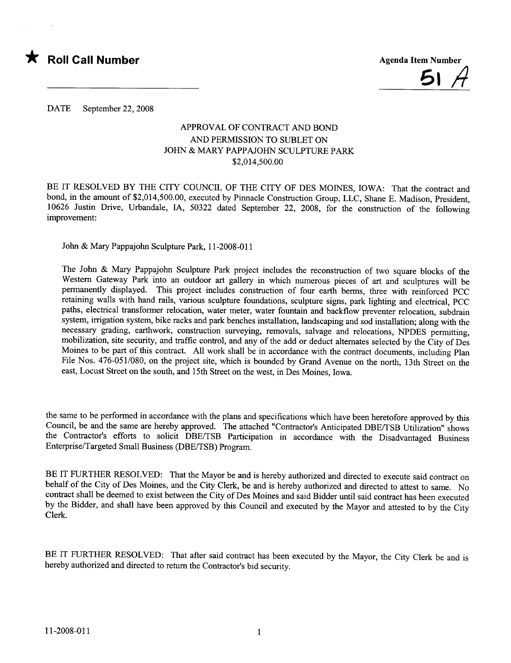

DATE September 22, 2008

## APPROVAL OF CONTRACT AND BOND AND PERMISSION TO SUBLET ON JOHN & MARY PAPPAJOHN SCULPTURE PARK \$2,014,500.00

BE IT RESOLVED BY THE CITY COUNCIL OF THE CITY OF DES MOINES, IOWA: That the contract and bond, in the amount of \$2,014,500.00, executed by Pinnacle Construction Group, LLC, Shane E. Madison, President, 10626 Justin Drive, Urbandale, IA, 50322 dated September 22, 2008, for the construction of the following improvement:

John & Mary Pappajohn Sculpture Park, 11-2008-011

The John & Mary Pappajohn Sculpture Park project includes the reconstruction of two square blocks of the Western Gateway Park into an outdoor art gallery in which numerous pieces of art and sculptures will be permanently displayed. This project includes construction of four earth berms, three with reinforced PCC retaining walls with hand rails, various sculpture foundations, sculpture signs, park lighting and electrical, PCC paths, electrical transformer relocation, water meter, water fountain and backflow preventer relocation, subdrain system, irrigation system, bike racks and park benches installation, landscaping and sod installation; along with the necessary grading, earthwork, construction surveying, removals, salvage and relocations, NPDES permitting, mobilization, site security, and traffic control, and any of the add or deduct alternates selected by the City of Des Moines to be part of this contract. All work shall be in accordance with the contract documents, including Plan File Nos. 476-051/080, on the project site, which is bounded by Grand Avenue on the north, 13th Street on the east, Locust Street on the south, and 15th Street on the west, in Des Moines, Iowa.

the same to be performed in accordance with the plans and specifications which have been heretofore approved by this Council, be and the same are hereby approved. The attached "Contractor's Anticipated DBE/TSB Utilization" shows the Contractor's efforts to solicit DBE/TSB Participation in accordance with the Disadvantaged Business Enterprise/Targeted Small Business (DBE/TSB) Program.

BE IT FURTHER RESOLVED: That the Mayor be and is hereby authorized and directed to execute said contract on behalf of the City of Des Moines, and the City Clerk, be and is hereby authorized and directed to attest to same. No contract shall be deemed to exist between the City of Des Moines and said Bidder until said contract has been executed by the Bidder, and shall have been approved by this Council and executed by the Mayor and attested to by the City Clerk.

BE IT FURTHER RESOLVED: That after said contract has been executed by the Mayor, the City Clerk be and is hereby authorized and directed to return the Contractor's bid security.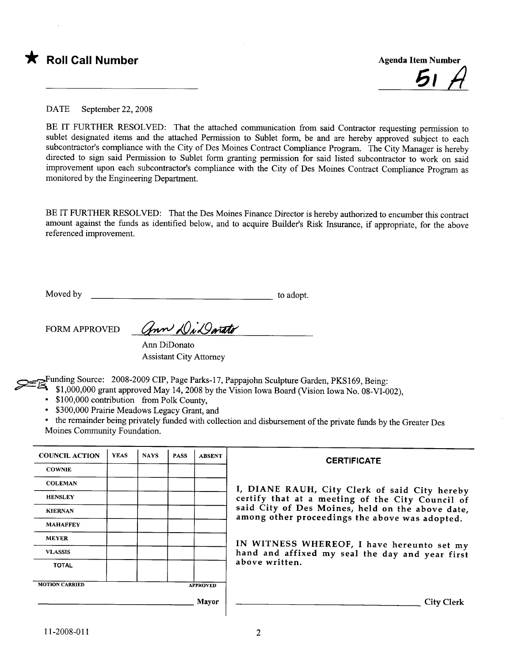

<u>51 A</u>

DATE September 22, 2008

BE IT FURTHER RESOLVED: That the attached communication from said Contractor requesting permission to sublet designated items and the attached Permission to Sublet form, be and are hereby approved subject to each subcontractor's compliance with the City of Des Moines Contract Compliance Program. The City Manager is hereby directed to sign said Permission to Sublet form granting permssion for said listed subcontractor to work on said improvement upon each subcontractor's compliance with the City of Des Moines Contract Compliance Program as monitored by the Engineering Deparment.

BE IT FURTHER RESOLVED: That the Des Moines Finance Director is hereby authorized to encumber this contract amount against the funds as identified below, and to acquire Builder's Risk Insurance, if appropriate, for the above referenced improvement.

Moved by to adopt.

FORM APPROVED Gran Di Darato

Ann DiDonato Assistant City Attorney

Funding Source: 2008-2009 CIP, Page Parks-17, Pappajohn Sculpture Garden, PKS169, Being:

~~ \$1,000,000 grant approved May 14,2008 by the Vision Iowa Board (Vision Iowa No. 08-VI-002),

\$100,000 contribution from Polk County,

. \$300,000 Prairie Meadows Legacy Grant, and

· the remainder being privately funded with collection and disbursement of the private funds by the Greater Des Moines Community Foundation.

| <b>COUNCIL ACTION</b> | <b>YEAS</b> | <b>NAYS</b> | <b>PASS</b> | <b>ABSENT</b>   | <b>CERTIFICATE</b>                                                                                                                                                                                                                                                        |  |  |
|-----------------------|-------------|-------------|-------------|-----------------|---------------------------------------------------------------------------------------------------------------------------------------------------------------------------------------------------------------------------------------------------------------------------|--|--|
| <b>COWNIE</b>         |             |             |             |                 |                                                                                                                                                                                                                                                                           |  |  |
| <b>COLEMAN</b>        |             |             |             |                 | I, DIANE RAUH, City Clerk of said City hereby                                                                                                                                                                                                                             |  |  |
| <b>HENSLEY</b>        |             |             |             |                 | certify that at a meeting of the City Council of<br>said City of Des Moines, held on the above date,<br>among other proceedings the above was adopted.<br>IN WITNESS WHEREOF, I have hereunto set my<br>hand and affixed my seal the day and year first<br>above written. |  |  |
| <b>KIERNAN</b>        |             |             |             |                 |                                                                                                                                                                                                                                                                           |  |  |
| <b>MAHAFFEY</b>       |             |             |             |                 |                                                                                                                                                                                                                                                                           |  |  |
| <b>MEYER</b>          |             |             |             |                 |                                                                                                                                                                                                                                                                           |  |  |
| <b>VLASSIS</b>        |             |             |             |                 |                                                                                                                                                                                                                                                                           |  |  |
| <b>TOTAL</b>          |             |             |             |                 |                                                                                                                                                                                                                                                                           |  |  |
| <b>MOTION CARRIED</b> |             |             |             |                 |                                                                                                                                                                                                                                                                           |  |  |
|                       |             |             |             | <b>APPROVED</b> |                                                                                                                                                                                                                                                                           |  |  |
|                       |             |             |             | Mayor           | <b>City Clerk</b>                                                                                                                                                                                                                                                         |  |  |
|                       |             |             |             |                 |                                                                                                                                                                                                                                                                           |  |  |